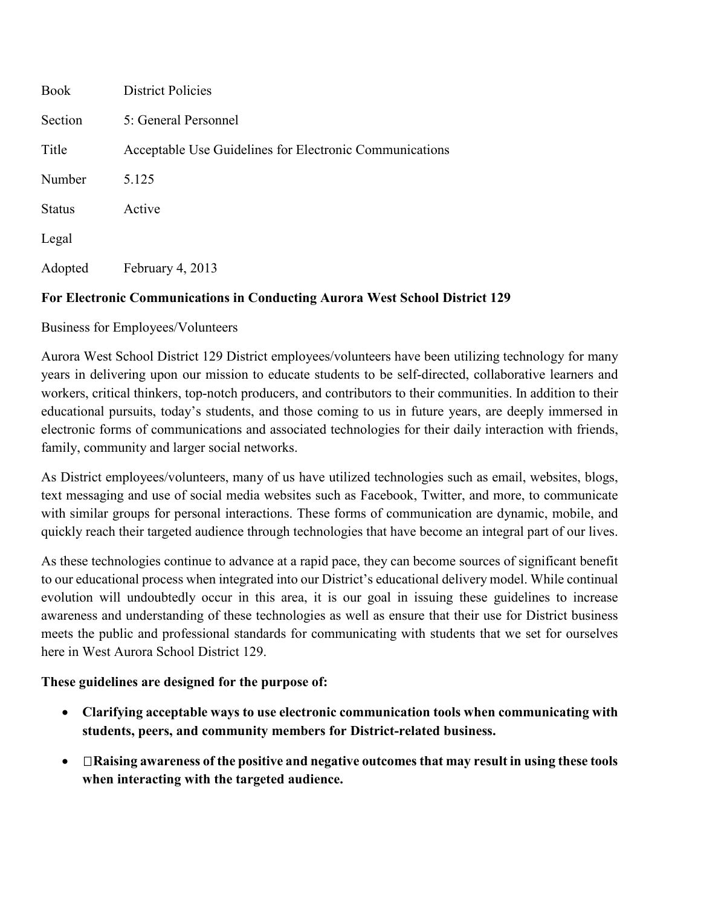| <b>Book</b>   | <b>District Policies</b>                                |
|---------------|---------------------------------------------------------|
| Section       | 5: General Personnel                                    |
| Title         | Acceptable Use Guidelines for Electronic Communications |
| Number        | 5.125                                                   |
| <b>Status</b> | Active                                                  |
| Legal         |                                                         |
| Adopted       | February 4, 2013                                        |

### **For Electronic Communications in Conducting Aurora West School District 129**

Business for Employees/Volunteers

Aurora West School District 129 District employees/volunteers have been utilizing technology for many years in delivering upon our mission to educate students to be self-directed, collaborative learners and workers, critical thinkers, top-notch producers, and contributors to their communities. In addition to their educational pursuits, today's students, and those coming to us in future years, are deeply immersed in electronic forms of communications and associated technologies for their daily interaction with friends, family, community and larger social networks.

As District employees/volunteers, many of us have utilized technologies such as email, websites, blogs, text messaging and use of social media websites such as Facebook, Twitter, and more, to communicate with similar groups for personal interactions. These forms of communication are dynamic, mobile, and quickly reach their targeted audience through technologies that have become an integral part of our lives.

As these technologies continue to advance at a rapid pace, they can become sources of significant benefit to our educational process when integrated into our District's educational delivery model. While continual evolution will undoubtedly occur in this area, it is our goal in issuing these guidelines to increase awareness and understanding of these technologies as well as ensure that their use for District business meets the public and professional standards for communicating with students that we set for ourselves here in West Aurora School District 129.

#### **These guidelines are designed for the purpose of:**

- **Clarifying acceptable ways to use electronic communication tools when communicating with students, peers, and community members for District-related business.**
- **Raising awareness of the positive and negative outcomes that may result in using these tools when interacting with the targeted audience.**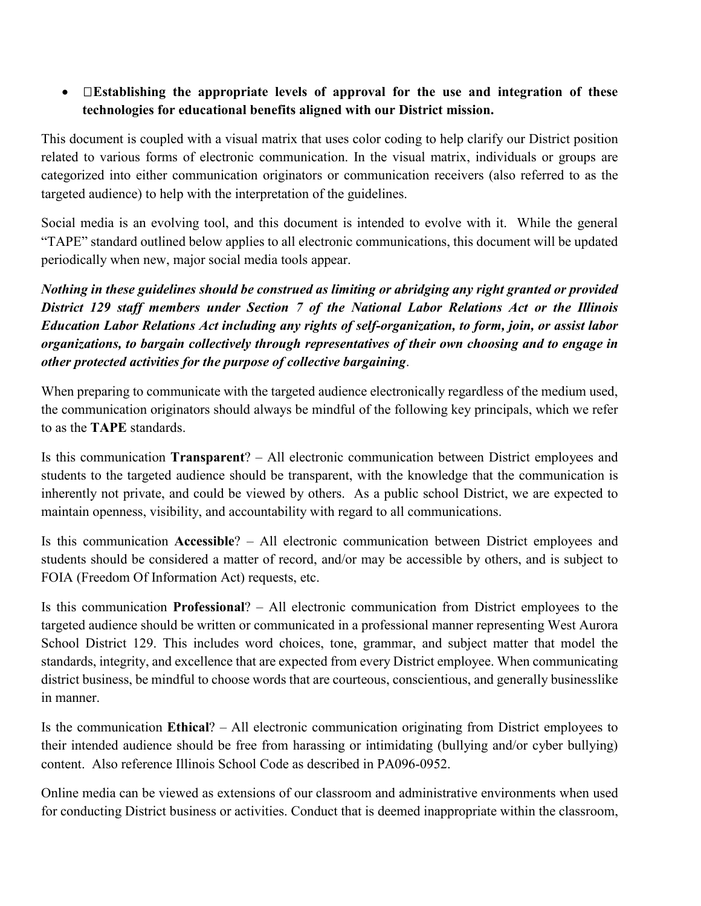## • **Establishing the appropriate levels of approval for the use and integration of these technologies for educational benefits aligned with our District mission.**

This document is coupled with a visual matrix that uses color coding to help clarify our District position related to various forms of electronic communication. In the visual matrix, individuals or groups are categorized into either communication originators or communication receivers (also referred to as the targeted audience) to help with the interpretation of the guidelines.

Social media is an evolving tool, and this document is intended to evolve with it. While the general "TAPE" standard outlined below applies to all electronic communications, this document will be updated periodically when new, major social media tools appear.

*Nothing in these guidelines should be construed as limiting or abridging any right granted or provided District 129 staff members under Section 7 of the National Labor Relations Act or the Illinois Education Labor Relations Act including any rights of self-organization, to form, join, or assist labor organizations, to bargain collectively through representatives of their own choosing and to engage in other protected activities for the purpose of collective bargaining*.

When preparing to communicate with the targeted audience electronically regardless of the medium used, the communication originators should always be mindful of the following key principals, which we refer to as the **TAPE** standards.

Is this communication **Transparent**? – All electronic communication between District employees and students to the targeted audience should be transparent, with the knowledge that the communication is inherently not private, and could be viewed by others. As a public school District, we are expected to maintain openness, visibility, and accountability with regard to all communications.

Is this communication **Accessible**? – All electronic communication between District employees and students should be considered a matter of record, and/or may be accessible by others, and is subject to FOIA (Freedom Of Information Act) requests, etc.

Is this communication **Professional**? – All electronic communication from District employees to the targeted audience should be written or communicated in a professional manner representing West Aurora School District 129. This includes word choices, tone, grammar, and subject matter that model the standards, integrity, and excellence that are expected from every District employee. When communicating district business, be mindful to choose words that are courteous, conscientious, and generally businesslike in manner.

Is the communication **Ethical**? – All electronic communication originating from District employees to their intended audience should be free from harassing or intimidating (bullying and/or cyber bullying) content. Also reference Illinois School Code as described in PA096-0952.

Online media can be viewed as extensions of our classroom and administrative environments when used for conducting District business or activities. Conduct that is deemed inappropriate within the classroom,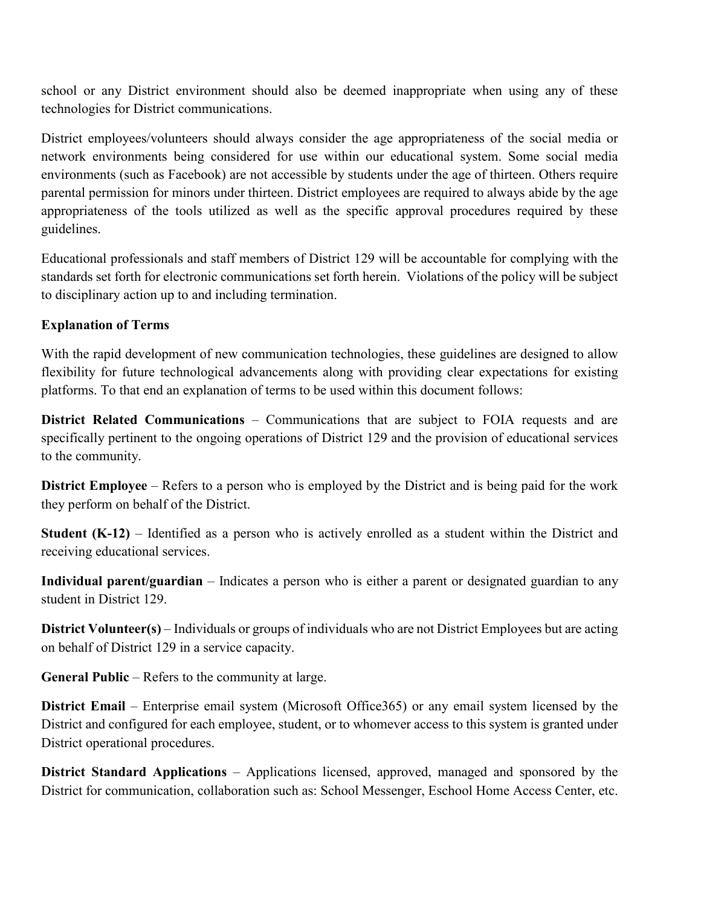school or any District environment should also be deemed inappropriate when using any of these technologies for District communications.

District employees/volunteers should always consider the age appropriateness of the social media or network environments being considered for use within our educational system. Some social media environments (such as Facebook) are not accessible by students under the age of thirteen. Others require parental permission for minors under thirteen. District employees are required to always abide by the age appropriateness of the tools utilized as well as the specific approval procedures required by these guidelines.

Educational professionals and staff members of District 129 will be accountable for complying with the standards set forth for electronic communications set forth herein. Violations of the policy will be subject to disciplinary action up to and including termination.

### **Explanation of Terms**

With the rapid development of new communication technologies, these guidelines are designed to allow flexibility for future technological advancements along with providing clear expectations for existing platforms. To that end an explanation of terms to be used within this document follows:

**District Related Communications** – Communications that are subject to FOIA requests and are specifically pertinent to the ongoing operations of District 129 and the provision of educational services to the community.

**District Employee** – Refers to a person who is employed by the District and is being paid for the work they perform on behalf of the District.

**Student (K-12)** – Identified as a person who is actively enrolled as a student within the District and receiving educational services.

**Individual parent/guardian** – Indicates a person who is either a parent or designated guardian to any student in District 129.

**District Volunteer(s)** – Individuals or groups of individuals who are not District Employees but are acting on behalf of District 129 in a service capacity.

**General Public** – Refers to the community at large.

**District Email** – Enterprise email system (Microsoft Office365) or any email system licensed by the District and configured for each employee, student, or to whomever access to this system is granted under District operational procedures.

**District Standard Applications** – Applications licensed, approved, managed and sponsored by the District for communication, collaboration such as: School Messenger, Eschool Home Access Center, etc.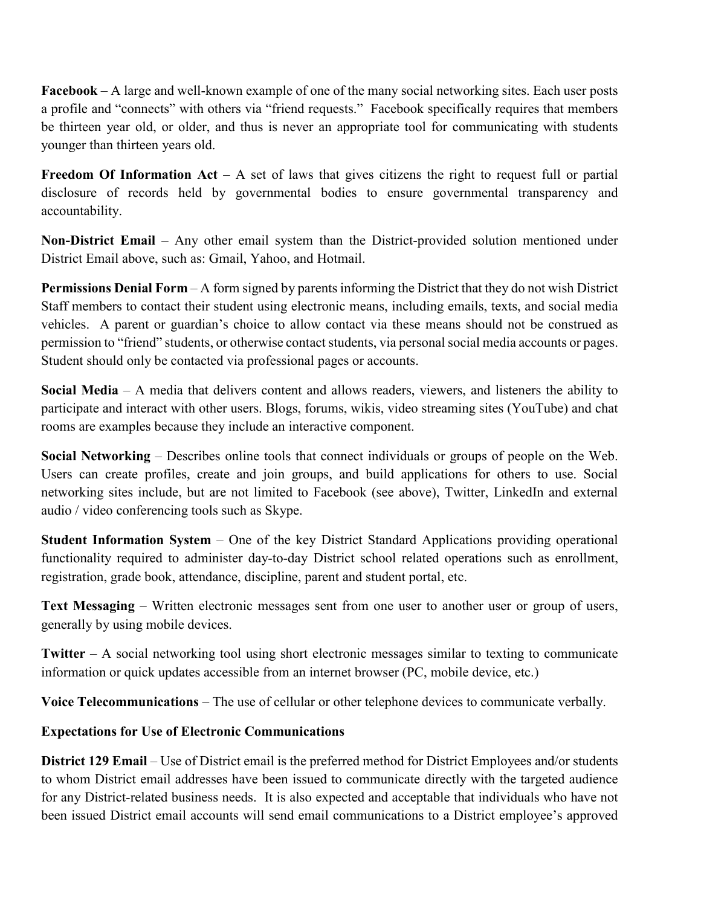**Facebook** – A large and well-known example of one of the many social networking sites. Each user posts a profile and "connects" with others via "friend requests." Facebook specifically requires that members be thirteen year old, or older, and thus is never an appropriate tool for communicating with students younger than thirteen years old.

**Freedom Of Information Act** – A set of laws that gives citizens the right to request full or partial disclosure of records held by governmental bodies to ensure governmental transparency and accountability.

**Non-District Email** – Any other email system than the District-provided solution mentioned under District Email above, such as: Gmail, Yahoo, and Hotmail.

**Permissions Denial Form** – A form signed by parents informing the District that they do not wish District Staff members to contact their student using electronic means, including emails, texts, and social media vehicles. A parent or guardian's choice to allow contact via these means should not be construed as permission to "friend" students, or otherwise contact students, via personal social media accounts or pages. Student should only be contacted via professional pages or accounts.

**Social Media** – A media that delivers content and allows readers, viewers, and listeners the ability to participate and interact with other users. Blogs, forums, wikis, video streaming sites (YouTube) and chat rooms are examples because they include an interactive component.

**Social Networking** – Describes online tools that connect individuals or groups of people on the Web. Users can create profiles, create and join groups, and build applications for others to use. Social networking sites include, but are not limited to Facebook (see above), Twitter, LinkedIn and external audio / video conferencing tools such as Skype.

**Student Information System** – One of the key District Standard Applications providing operational functionality required to administer day-to-day District school related operations such as enrollment, registration, grade book, attendance, discipline, parent and student portal, etc.

**Text Messaging** – Written electronic messages sent from one user to another user or group of users, generally by using mobile devices.

**Twitter** – A social networking tool using short electronic messages similar to texting to communicate information or quick updates accessible from an internet browser (PC, mobile device, etc.)

**Voice Telecommunications** – The use of cellular or other telephone devices to communicate verbally.

## **Expectations for Use of Electronic Communications**

**District 129 Email** – Use of District email is the preferred method for District Employees and/or students to whom District email addresses have been issued to communicate directly with the targeted audience for any District-related business needs. It is also expected and acceptable that individuals who have not been issued District email accounts will send email communications to a District employee's approved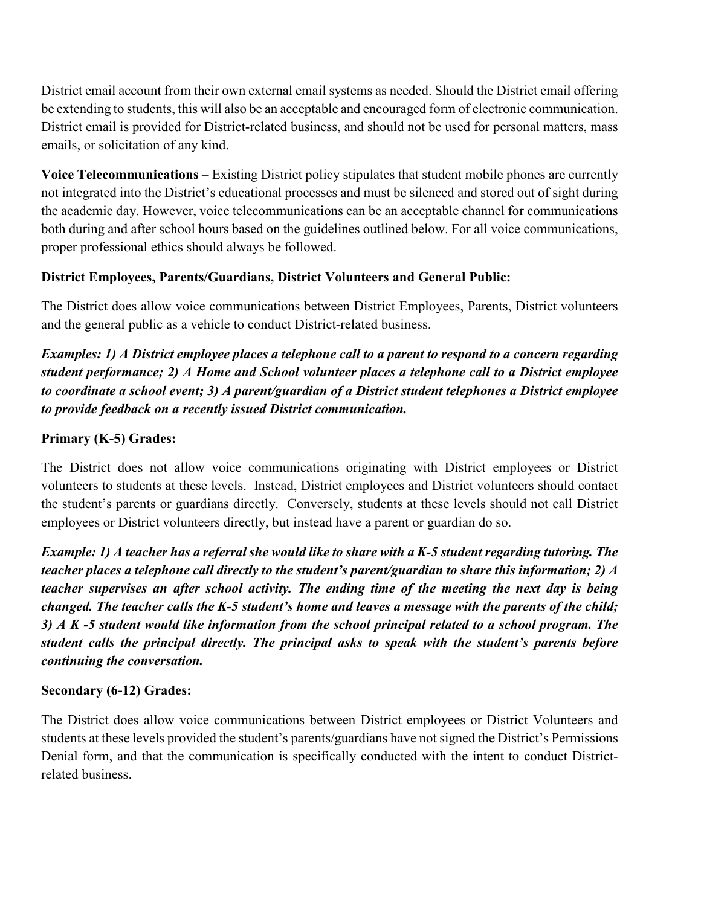District email account from their own external email systems as needed. Should the District email offering be extending to students, this will also be an acceptable and encouraged form of electronic communication. District email is provided for District-related business, and should not be used for personal matters, mass emails, or solicitation of any kind.

**Voice Telecommunications** – Existing District policy stipulates that student mobile phones are currently not integrated into the District's educational processes and must be silenced and stored out of sight during the academic day. However, voice telecommunications can be an acceptable channel for communications both during and after school hours based on the guidelines outlined below. For all voice communications, proper professional ethics should always be followed.

## **District Employees, Parents/Guardians, District Volunteers and General Public:**

The District does allow voice communications between District Employees, Parents, District volunteers and the general public as a vehicle to conduct District-related business.

*Examples: 1) A District employee places a telephone call to a parent to respond to a concern regarding student performance; 2) A Home and School volunteer places a telephone call to a District employee to coordinate a school event; 3) A parent/guardian of a District student telephones a District employee to provide feedback on a recently issued District communication.* 

## **Primary (K-5) Grades:**

The District does not allow voice communications originating with District employees or District volunteers to students at these levels. Instead, District employees and District volunteers should contact the student's parents or guardians directly. Conversely, students at these levels should not call District employees or District volunteers directly, but instead have a parent or guardian do so.

*Example: 1) A teacher has a referral she would like to share with a K-5 student regarding tutoring. The teacher places a telephone call directly to the student's parent/guardian to share this information; 2) A teacher supervises an after school activity. The ending time of the meeting the next day is being changed. The teacher calls the K-5 student's home and leaves a message with the parents of the child; 3) A K -5 student would like information from the school principal related to a school program. The student calls the principal directly. The principal asks to speak with the student's parents before continuing the conversation.*

## **Secondary (6-12) Grades:**

The District does allow voice communications between District employees or District Volunteers and students at these levels provided the student's parents/guardians have not signed the District's Permissions Denial form, and that the communication is specifically conducted with the intent to conduct Districtrelated business.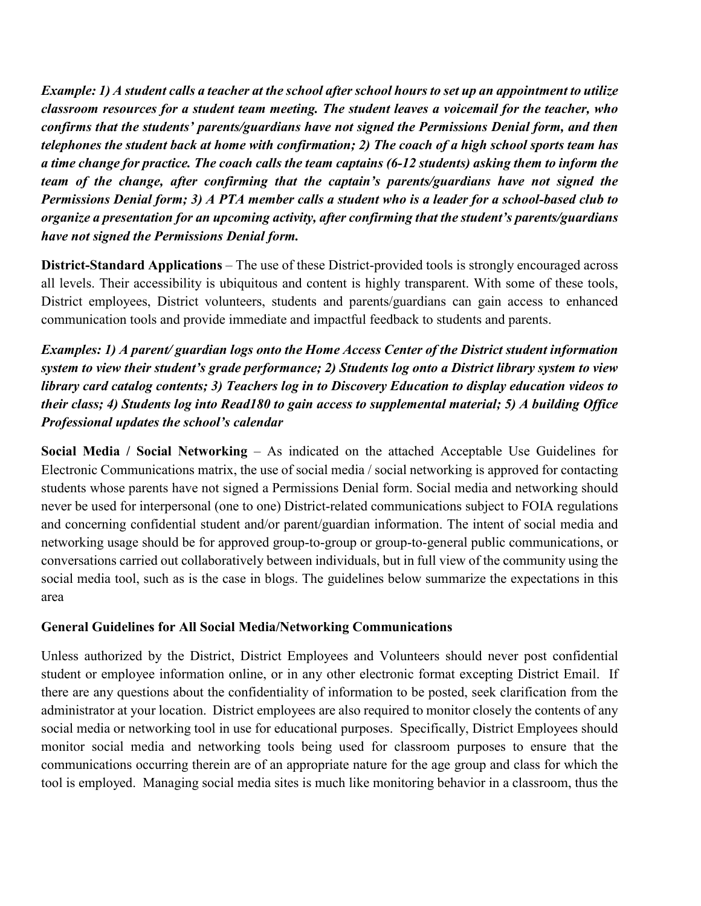*Example: 1) A student calls a teacher at the school after school hours to set up an appointment to utilize classroom resources for a student team meeting. The student leaves a voicemail for the teacher, who confirms that the students' parents/guardians have not signed the Permissions Denial form, and then telephones the student back at home with confirmation; 2) The coach of a high school sports team has a time change for practice. The coach calls the team captains (6-12 students) asking them to inform the team of the change, after confirming that the captain's parents/guardians have not signed the Permissions Denial form; 3) A PTA member calls a student who is a leader for a school-based club to organize a presentation for an upcoming activity, after confirming that the student's parents/guardians have not signed the Permissions Denial form.* 

**District-Standard Applications** – The use of these District-provided tools is strongly encouraged across all levels. Their accessibility is ubiquitous and content is highly transparent. With some of these tools, District employees, District volunteers, students and parents/guardians can gain access to enhanced communication tools and provide immediate and impactful feedback to students and parents.

*Examples: 1) A parent/ guardian logs onto the Home Access Center of the District student information system to view their student's grade performance; 2) Students log onto a District library system to view library card catalog contents; 3) Teachers log in to Discovery Education to display education videos to their class; 4) Students log into Read180 to gain access to supplemental material; 5) A building Office Professional updates the school's calendar* 

**Social Media / Social Networking** – As indicated on the attached Acceptable Use Guidelines for Electronic Communications matrix, the use of social media / social networking is approved for contacting students whose parents have not signed a Permissions Denial form. Social media and networking should never be used for interpersonal (one to one) District-related communications subject to FOIA regulations and concerning confidential student and/or parent/guardian information. The intent of social media and networking usage should be for approved group-to-group or group-to-general public communications, or conversations carried out collaboratively between individuals, but in full view of the community using the social media tool, such as is the case in blogs. The guidelines below summarize the expectations in this area

#### **General Guidelines for All Social Media/Networking Communications**

Unless authorized by the District, District Employees and Volunteers should never post confidential student or employee information online, or in any other electronic format excepting District Email. If there are any questions about the confidentiality of information to be posted, seek clarification from the administrator at your location. District employees are also required to monitor closely the contents of any social media or networking tool in use for educational purposes. Specifically, District Employees should monitor social media and networking tools being used for classroom purposes to ensure that the communications occurring therein are of an appropriate nature for the age group and class for which the tool is employed. Managing social media sites is much like monitoring behavior in a classroom, thus the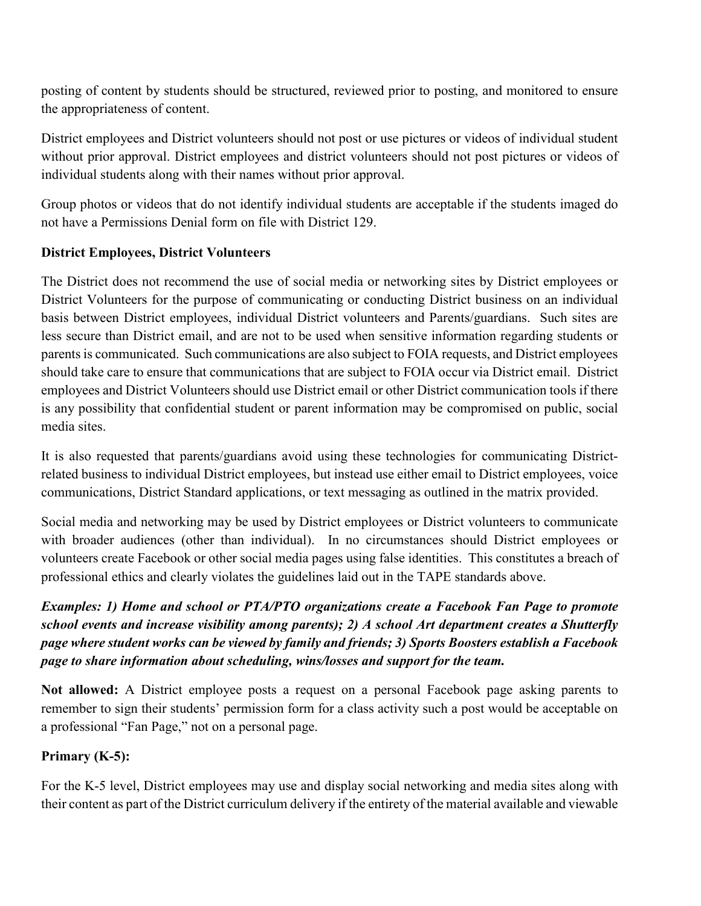posting of content by students should be structured, reviewed prior to posting, and monitored to ensure the appropriateness of content.

District employees and District volunteers should not post or use pictures or videos of individual student without prior approval. District employees and district volunteers should not post pictures or videos of individual students along with their names without prior approval.

Group photos or videos that do not identify individual students are acceptable if the students imaged do not have a Permissions Denial form on file with District 129.

## **District Employees, District Volunteers**

The District does not recommend the use of social media or networking sites by District employees or District Volunteers for the purpose of communicating or conducting District business on an individual basis between District employees, individual District volunteers and Parents/guardians. Such sites are less secure than District email, and are not to be used when sensitive information regarding students or parents is communicated. Such communications are also subject to FOIA requests, and District employees should take care to ensure that communications that are subject to FOIA occur via District email. District employees and District Volunteers should use District email or other District communication tools if there is any possibility that confidential student or parent information may be compromised on public, social media sites.

It is also requested that parents/guardians avoid using these technologies for communicating Districtrelated business to individual District employees, but instead use either email to District employees, voice communications, District Standard applications, or text messaging as outlined in the matrix provided.

Social media and networking may be used by District employees or District volunteers to communicate with broader audiences (other than individual). In no circumstances should District employees or volunteers create Facebook or other social media pages using false identities. This constitutes a breach of professional ethics and clearly violates the guidelines laid out in the TAPE standards above.

*Examples: 1) Home and school or PTA/PTO organizations create a Facebook Fan Page to promote school events and increase visibility among parents); 2) A school Art department creates a Shutterfly page where student works can be viewed by family and friends; 3) Sports Boosters establish a Facebook page to share information about scheduling, wins/losses and support for the team.* 

**Not allowed:** A District employee posts a request on a personal Facebook page asking parents to remember to sign their students' permission form for a class activity such a post would be acceptable on a professional "Fan Page," not on a personal page.

#### **Primary (K-5):**

For the K-5 level, District employees may use and display social networking and media sites along with their content as part of the District curriculum delivery if the entirety of the material available and viewable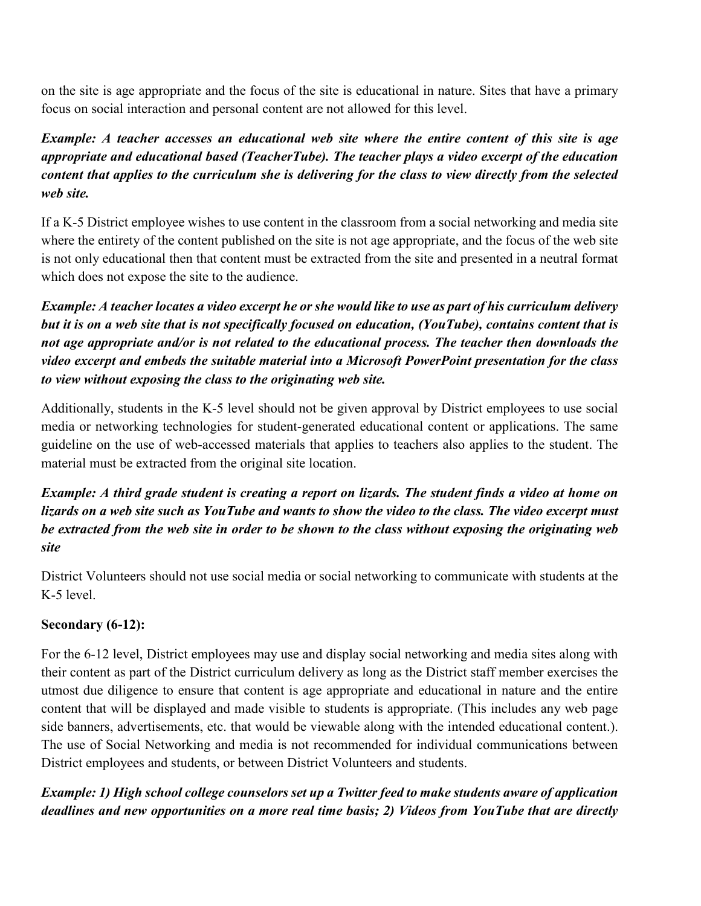on the site is age appropriate and the focus of the site is educational in nature. Sites that have a primary focus on social interaction and personal content are not allowed for this level.

*Example: A teacher accesses an educational web site where the entire content of this site is age appropriate and educational based (TeacherTube). The teacher plays a video excerpt of the education content that applies to the curriculum she is delivering for the class to view directly from the selected web site.* 

If a K-5 District employee wishes to use content in the classroom from a social networking and media site where the entirety of the content published on the site is not age appropriate, and the focus of the web site is not only educational then that content must be extracted from the site and presented in a neutral format which does not expose the site to the audience.

*Example: A teacher locates a video excerpt he or she would like to use as part of his curriculum delivery but it is on a web site that is not specifically focused on education, (YouTube), contains content that is not age appropriate and/or is not related to the educational process. The teacher then downloads the video excerpt and embeds the suitable material into a Microsoft PowerPoint presentation for the class to view without exposing the class to the originating web site.* 

Additionally, students in the K-5 level should not be given approval by District employees to use social media or networking technologies for student-generated educational content or applications. The same guideline on the use of web-accessed materials that applies to teachers also applies to the student. The material must be extracted from the original site location.

*Example: A third grade student is creating a report on lizards. The student finds a video at home on lizards on a web site such as YouTube and wants to show the video to the class. The video excerpt must be extracted from the web site in order to be shown to the class without exposing the originating web site* 

District Volunteers should not use social media or social networking to communicate with students at the K-5 level.

## **Secondary (6-12):**

For the 6-12 level, District employees may use and display social networking and media sites along with their content as part of the District curriculum delivery as long as the District staff member exercises the utmost due diligence to ensure that content is age appropriate and educational in nature and the entire content that will be displayed and made visible to students is appropriate. (This includes any web page side banners, advertisements, etc. that would be viewable along with the intended educational content.). The use of Social Networking and media is not recommended for individual communications between District employees and students, or between District Volunteers and students.

*Example: 1) High school college counselors set up a Twitter feed to make students aware of application deadlines and new opportunities on a more real time basis; 2) Videos from YouTube that are directly*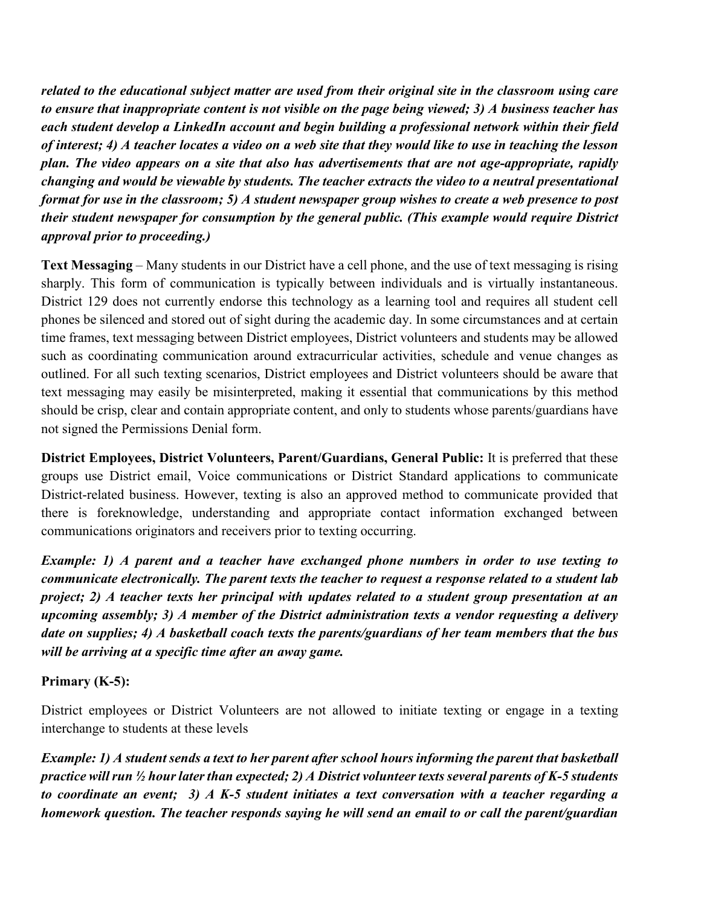*related to the educational subject matter are used from their original site in the classroom using care to ensure that inappropriate content is not visible on the page being viewed; 3) A business teacher has each student develop a LinkedIn account and begin building a professional network within their field of interest; 4) A teacher locates a video on a web site that they would like to use in teaching the lesson plan. The video appears on a site that also has advertisements that are not age-appropriate, rapidly changing and would be viewable by students. The teacher extracts the video to a neutral presentational format for use in the classroom; 5) A student newspaper group wishes to create a web presence to post their student newspaper for consumption by the general public. (This example would require District approval prior to proceeding.)* 

**Text Messaging** – Many students in our District have a cell phone, and the use of text messaging is rising sharply. This form of communication is typically between individuals and is virtually instantaneous. District 129 does not currently endorse this technology as a learning tool and requires all student cell phones be silenced and stored out of sight during the academic day. In some circumstances and at certain time frames, text messaging between District employees, District volunteers and students may be allowed such as coordinating communication around extracurricular activities, schedule and venue changes as outlined. For all such texting scenarios, District employees and District volunteers should be aware that text messaging may easily be misinterpreted, making it essential that communications by this method should be crisp, clear and contain appropriate content, and only to students whose parents/guardians have not signed the Permissions Denial form.

**District Employees, District Volunteers, Parent/Guardians, General Public:** It is preferred that these groups use District email, Voice communications or District Standard applications to communicate District-related business. However, texting is also an approved method to communicate provided that there is foreknowledge, understanding and appropriate contact information exchanged between communications originators and receivers prior to texting occurring.

*Example: 1) A parent and a teacher have exchanged phone numbers in order to use texting to communicate electronically. The parent texts the teacher to request a response related to a student lab project; 2) A teacher texts her principal with updates related to a student group presentation at an upcoming assembly; 3) A member of the District administration texts a vendor requesting a delivery date on supplies; 4) A basketball coach texts the parents/guardians of her team members that the bus will be arriving at a specific time after an away game.* 

#### **Primary (K-5):**

District employees or District Volunteers are not allowed to initiate texting or engage in a texting interchange to students at these levels

*Example: 1) A student sends a text to her parent after school hours informing the parent that basketball practice will run ½ hour later than expected; 2) A District volunteer texts several parents of K-5 students to coordinate an event; 3) A K-5 student initiates a text conversation with a teacher regarding a homework question. The teacher responds saying he will send an email to or call the parent/guardian*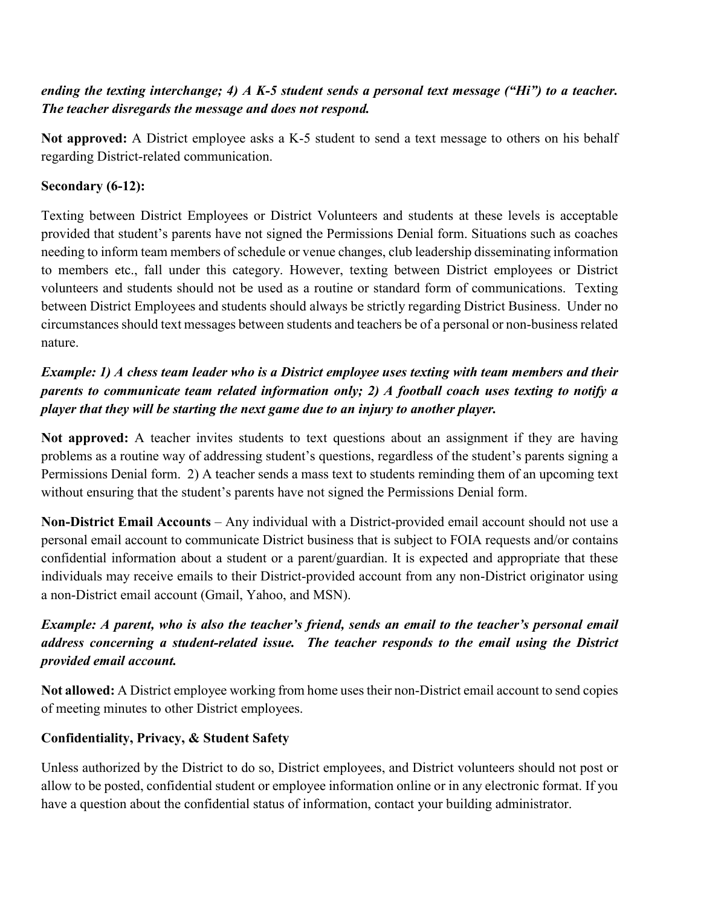## *ending the texting interchange; 4) A K-5 student sends a personal text message ("Hi") to a teacher. The teacher disregards the message and does not respond.*

**Not approved:** A District employee asks a K-5 student to send a text message to others on his behalf regarding District-related communication.

### **Secondary (6-12):**

Texting between District Employees or District Volunteers and students at these levels is acceptable provided that student's parents have not signed the Permissions Denial form. Situations such as coaches needing to inform team members of schedule or venue changes, club leadership disseminating information to members etc., fall under this category. However, texting between District employees or District volunteers and students should not be used as a routine or standard form of communications. Texting between District Employees and students should always be strictly regarding District Business. Under no circumstances should text messages between students and teachers be of a personal or non-business related nature.

# *Example: 1) A chess team leader who is a District employee uses texting with team members and their parents to communicate team related information only; 2) A football coach uses texting to notify a player that they will be starting the next game due to an injury to another player.*

**Not approved:** A teacher invites students to text questions about an assignment if they are having problems as a routine way of addressing student's questions, regardless of the student's parents signing a Permissions Denial form. 2) A teacher sends a mass text to students reminding them of an upcoming text without ensuring that the student's parents have not signed the Permissions Denial form.

**Non-District Email Accounts** – Any individual with a District-provided email account should not use a personal email account to communicate District business that is subject to FOIA requests and/or contains confidential information about a student or a parent/guardian. It is expected and appropriate that these individuals may receive emails to their District-provided account from any non-District originator using a non-District email account (Gmail, Yahoo, and MSN).

# *Example: A parent, who is also the teacher's friend, sends an email to the teacher's personal email address concerning a student-related issue. The teacher responds to the email using the District provided email account.*

**Not allowed:** A District employee working from home uses their non-District email account to send copies of meeting minutes to other District employees.

## **Confidentiality, Privacy, & Student Safety**

Unless authorized by the District to do so, District employees, and District volunteers should not post or allow to be posted, confidential student or employee information online or in any electronic format. If you have a question about the confidential status of information, contact your building administrator.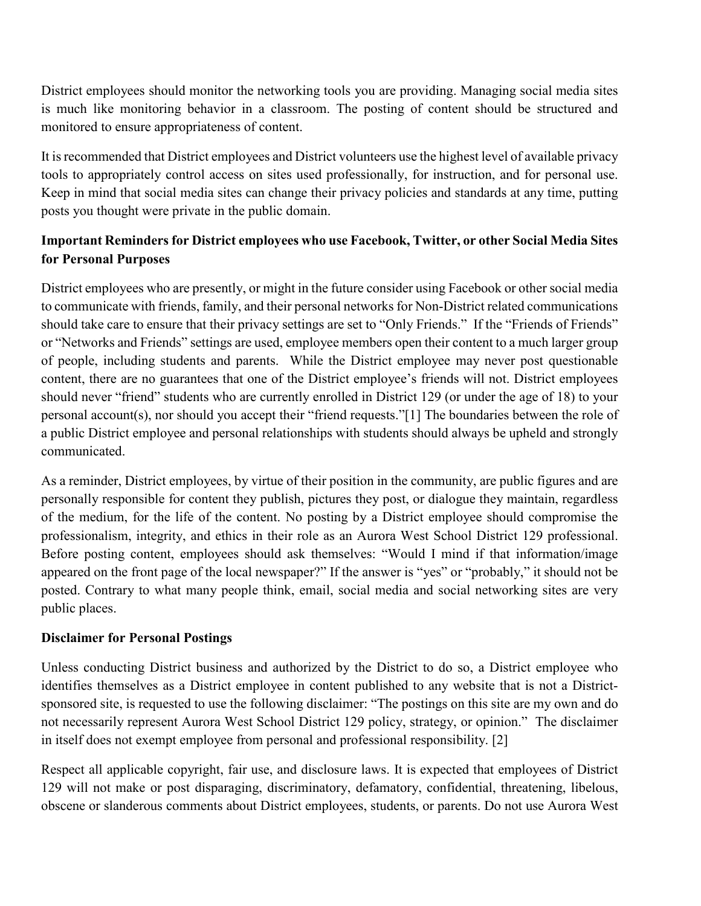District employees should monitor the networking tools you are providing. Managing social media sites is much like monitoring behavior in a classroom. The posting of content should be structured and monitored to ensure appropriateness of content.

It is recommended that District employees and District volunteers use the highest level of available privacy tools to appropriately control access on sites used professionally, for instruction, and for personal use. Keep in mind that social media sites can change their privacy policies and standards at any time, putting posts you thought were private in the public domain.

## **Important Reminders for District employees who use Facebook, Twitter, or other Social Media Sites for Personal Purposes**

District employees who are presently, or might in the future consider using Facebook or other social media to communicate with friends, family, and their personal networks for Non-District related communications should take care to ensure that their privacy settings are set to "Only Friends." If the "Friends of Friends" or "Networks and Friends" settings are used, employee members open their content to a much larger group of people, including students and parents. While the District employee may never post questionable content, there are no guarantees that one of the District employee's friends will not. District employees should never "friend" students who are currently enrolled in District 129 (or under the age of 18) to your personal account(s), nor should you accept their "friend requests."[1] The boundaries between the role of a public District employee and personal relationships with students should always be upheld and strongly communicated.

As a reminder, District employees, by virtue of their position in the community, are public figures and are personally responsible for content they publish, pictures they post, or dialogue they maintain, regardless of the medium, for the life of the content. No posting by a District employee should compromise the professionalism, integrity, and ethics in their role as an Aurora West School District 129 professional. Before posting content, employees should ask themselves: "Would I mind if that information/image appeared on the front page of the local newspaper?" If the answer is "yes" or "probably," it should not be posted. Contrary to what many people think, email, social media and social networking sites are very public places.

#### **Disclaimer for Personal Postings**

Unless conducting District business and authorized by the District to do so, a District employee who identifies themselves as a District employee in content published to any website that is not a Districtsponsored site, is requested to use the following disclaimer: "The postings on this site are my own and do not necessarily represent Aurora West School District 129 policy, strategy, or opinion." The disclaimer in itself does not exempt employee from personal and professional responsibility. [2]

Respect all applicable copyright, fair use, and disclosure laws. It is expected that employees of District 129 will not make or post disparaging, discriminatory, defamatory, confidential, threatening, libelous, obscene or slanderous comments about District employees, students, or parents. Do not use Aurora West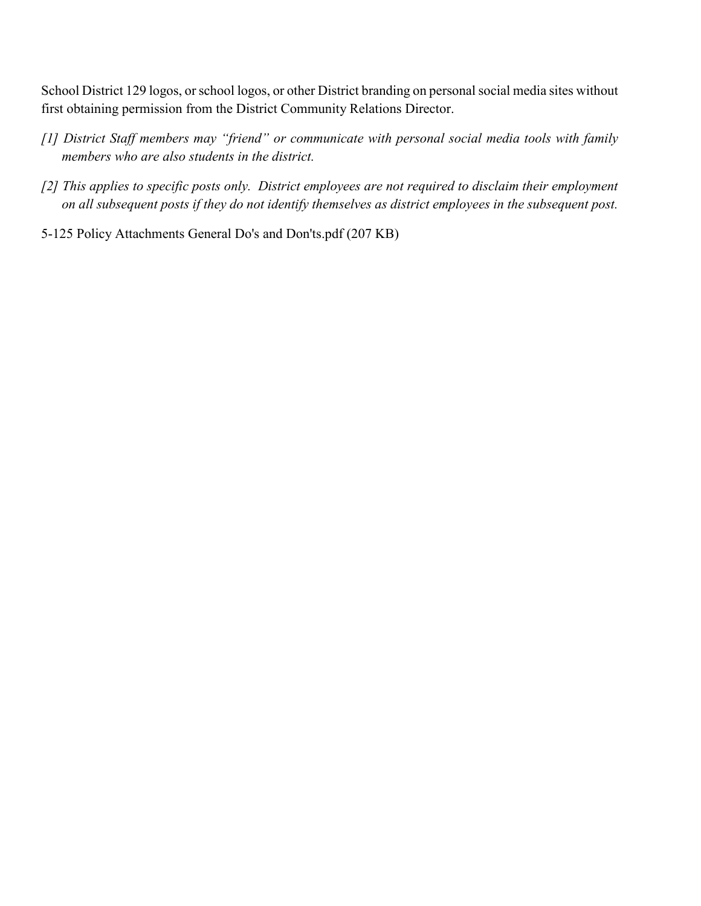School District 129 logos, or school logos, or other District branding on personal social media sites without first obtaining permission from the District Community Relations Director.

- *[1] District Staff members may "friend" or communicate with personal social media tools with family members who are also students in the district.*
- *[2] This applies to specific posts only. District employees are not required to disclaim their employment on all subsequent posts if they do not identify themselves as district employees in the subsequent post.*
- 5-125 Policy Attachments General Do's and Don'ts.pdf (207 KB)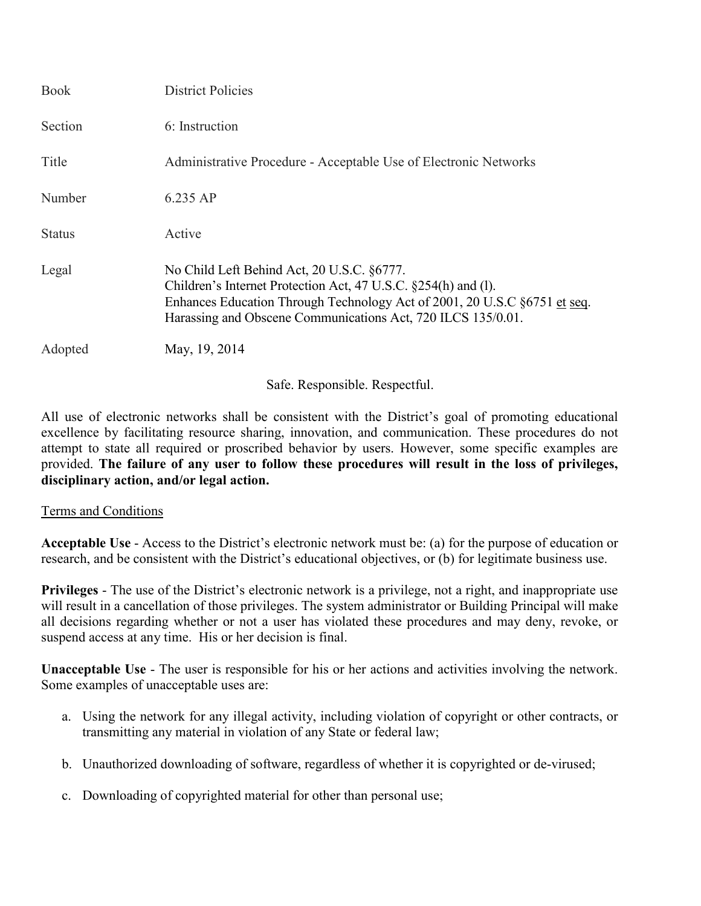| <b>Book</b>    | <b>District Policies</b>                                                                                                                                                                                                                                  |
|----------------|-----------------------------------------------------------------------------------------------------------------------------------------------------------------------------------------------------------------------------------------------------------|
| <b>Section</b> | 6: Instruction                                                                                                                                                                                                                                            |
| Title          | Administrative Procedure - Acceptable Use of Electronic Networks                                                                                                                                                                                          |
| Number         | 6.235 AP                                                                                                                                                                                                                                                  |
| <b>Status</b>  | Active                                                                                                                                                                                                                                                    |
| Legal          | No Child Left Behind Act, 20 U.S.C. §6777.<br>Children's Internet Protection Act, 47 U.S.C. §254(h) and (1).<br>Enhances Education Through Technology Act of 2001, 20 U.S.C §6751 et seq.<br>Harassing and Obscene Communications Act, 720 ILCS 135/0.01. |
| Adopted        | May, 19, 2014                                                                                                                                                                                                                                             |

All use of electronic networks shall be consistent with the District's goal of promoting educational excellence by facilitating resource sharing, innovation, and communication. These procedures do not attempt to state all required or proscribed behavior by users. However, some specific examples are provided. **The failure of any user to follow these procedures will result in the loss of privileges, disciplinary action, and/or legal action.**

Safe. Responsible. Respectful.

#### Terms and Conditions

**Acceptable Use** - Access to the District's electronic network must be: (a) for the purpose of education or research, and be consistent with the District's educational objectives, or (b) for legitimate business use.

**Privileges** - The use of the District's electronic network is a privilege, not a right, and inappropriate use will result in a cancellation of those privileges. The system administrator or Building Principal will make all decisions regarding whether or not a user has violated these procedures and may deny, revoke, or suspend access at any time. His or her decision is final.

**Unacceptable Use** - The user is responsible for his or her actions and activities involving the network. Some examples of unacceptable uses are:

- a. Using the network for any illegal activity, including violation of copyright or other contracts, or transmitting any material in violation of any State or federal law;
- b. Unauthorized downloading of software, regardless of whether it is copyrighted or de-virused;
- c. Downloading of copyrighted material for other than personal use;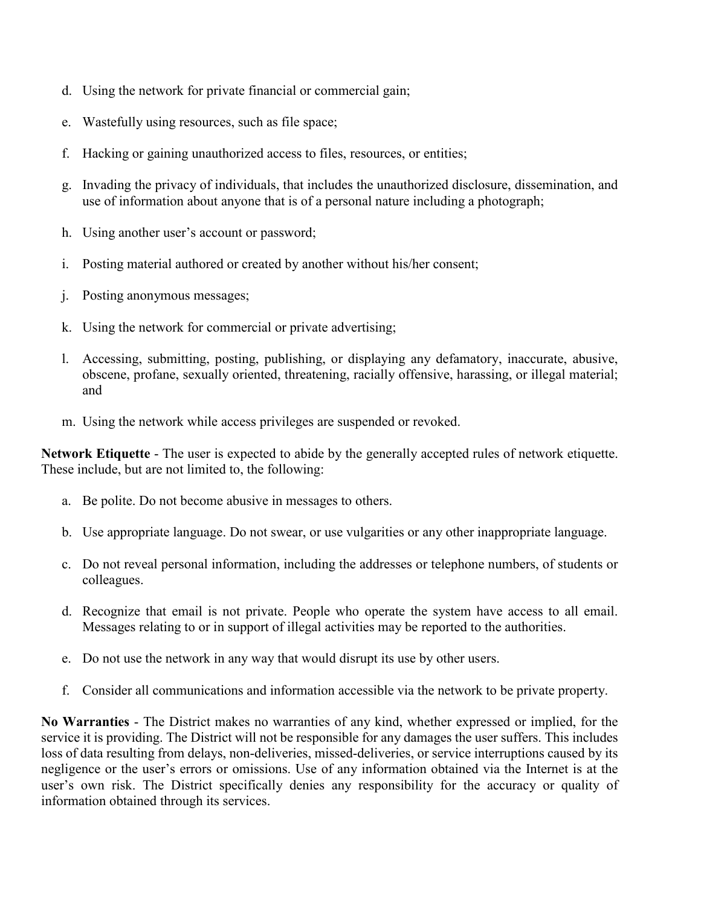- d. Using the network for private financial or commercial gain;
- e. Wastefully using resources, such as file space;
- f. Hacking or gaining unauthorized access to files, resources, or entities;
- g. Invading the privacy of individuals, that includes the unauthorized disclosure, dissemination, and use of information about anyone that is of a personal nature including a photograph;
- h. Using another user's account or password;
- i. Posting material authored or created by another without his/her consent;
- j. Posting anonymous messages;
- k. Using the network for commercial or private advertising;
- l. Accessing, submitting, posting, publishing, or displaying any defamatory, inaccurate, abusive, obscene, profane, sexually oriented, threatening, racially offensive, harassing, or illegal material; and
- m. Using the network while access privileges are suspended or revoked.

**Network Etiquette** - The user is expected to abide by the generally accepted rules of network etiquette. These include, but are not limited to, the following:

- a. Be polite. Do not become abusive in messages to others.
- b. Use appropriate language. Do not swear, or use vulgarities or any other inappropriate language.
- c. Do not reveal personal information, including the addresses or telephone numbers, of students or colleagues.
- d. Recognize that email is not private. People who operate the system have access to all email. Messages relating to or in support of illegal activities may be reported to the authorities.
- e. Do not use the network in any way that would disrupt its use by other users.
- f. Consider all communications and information accessible via the network to be private property.

**No Warranties** - The District makes no warranties of any kind, whether expressed or implied, for the service it is providing. The District will not be responsible for any damages the user suffers. This includes loss of data resulting from delays, non-deliveries, missed-deliveries, or service interruptions caused by its negligence or the user's errors or omissions. Use of any information obtained via the Internet is at the user's own risk. The District specifically denies any responsibility for the accuracy or quality of information obtained through its services.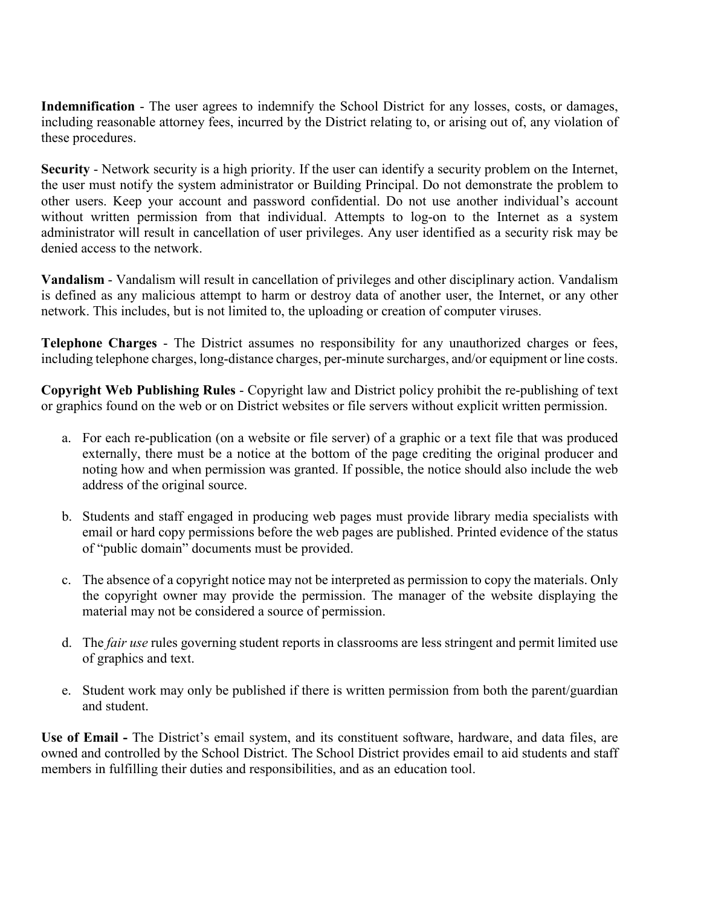**Indemnification** - The user agrees to indemnify the School District for any losses, costs, or damages, including reasonable attorney fees, incurred by the District relating to, or arising out of, any violation of these procedures.

**Security** - Network security is a high priority. If the user can identify a security problem on the Internet, the user must notify the system administrator or Building Principal. Do not demonstrate the problem to other users. Keep your account and password confidential. Do not use another individual's account without written permission from that individual. Attempts to log-on to the Internet as a system administrator will result in cancellation of user privileges. Any user identified as a security risk may be denied access to the network.

**Vandalism** - Vandalism will result in cancellation of privileges and other disciplinary action. Vandalism is defined as any malicious attempt to harm or destroy data of another user, the Internet, or any other network. This includes, but is not limited to, the uploading or creation of computer viruses.

**Telephone Charges** - The District assumes no responsibility for any unauthorized charges or fees, including telephone charges, long-distance charges, per-minute surcharges, and/or equipment or line costs.

**Copyright Web Publishing Rules** - Copyright law and District policy prohibit the re-publishing of text or graphics found on the web or on District websites or file servers without explicit written permission.

- a. For each re-publication (on a website or file server) of a graphic or a text file that was produced externally, there must be a notice at the bottom of the page crediting the original producer and noting how and when permission was granted. If possible, the notice should also include the web address of the original source.
- b. Students and staff engaged in producing web pages must provide library media specialists with email or hard copy permissions before the web pages are published. Printed evidence of the status of "public domain" documents must be provided.
- c. The absence of a copyright notice may not be interpreted as permission to copy the materials. Only the copyright owner may provide the permission. The manager of the website displaying the material may not be considered a source of permission.
- d. The *fair use* rules governing student reports in classrooms are less stringent and permit limited use of graphics and text.
- e. Student work may only be published if there is written permission from both the parent/guardian and student.

**Use of Email -** The District's email system, and its constituent software, hardware, and data files, are owned and controlled by the School District. The School District provides email to aid students and staff members in fulfilling their duties and responsibilities, and as an education tool.